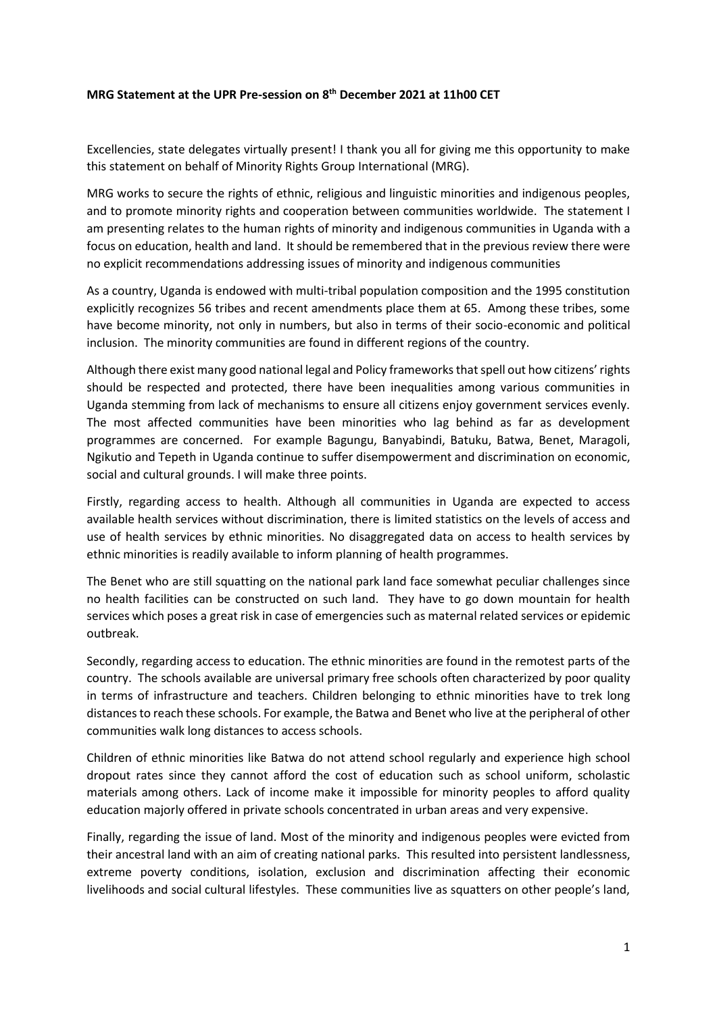## **MRG Statement at the UPR Pre-session on 8th December 2021 at 11h00 CET**

Excellencies, state delegates virtually present! I thank you all for giving me this opportunity to make this statement on behalf of Minority Rights Group International (MRG).

MRG works to secure the rights of ethnic, religious and linguistic minorities and indigenous peoples, and to promote minority rights and cooperation between communities worldwide. The statement I am presenting relates to the human rights of minority and indigenous communities in Uganda with a focus on education, health and land. It should be remembered that in the previous review there were no explicit recommendations addressing issues of minority and indigenous communities

As a country, Uganda is endowed with multi-tribal population composition and the 1995 constitution explicitly recognizes 56 tribes and recent amendments place them at 65. Among these tribes, some have become minority, not only in numbers, but also in terms of their socio-economic and political inclusion. The minority communities are found in different regions of the country.

Although there exist many good national legal and Policy frameworks that spell out how citizens' rights should be respected and protected, there have been inequalities among various communities in Uganda stemming from lack of mechanisms to ensure all citizens enjoy government services evenly. The most affected communities have been minorities who lag behind as far as development programmes are concerned. For example Bagungu, Banyabindi, Batuku, Batwa, Benet, Maragoli, Ngikutio and Tepeth in Uganda continue to suffer disempowerment and discrimination on economic, social and cultural grounds. I will make three points.

Firstly, regarding access to health. Although all communities in Uganda are expected to access available health services without discrimination, there is limited statistics on the levels of access and use of health services by ethnic minorities. No disaggregated data on access to health services by ethnic minorities is readily available to inform planning of health programmes.

The Benet who are still squatting on the national park land face somewhat peculiar challenges since no health facilities can be constructed on such land. They have to go down mountain for health services which poses a great risk in case of emergencies such as maternal related services or epidemic outbreak.

Secondly, regarding access to education. The ethnic minorities are found in the remotest parts of the country. The schools available are universal primary free schools often characterized by poor quality in terms of infrastructure and teachers. Children belonging to ethnic minorities have to trek long distances to reach these schools. For example, the Batwa and Benet who live at the peripheral of other communities walk long distances to access schools.

Children of ethnic minorities like Batwa do not attend school regularly and experience high school dropout rates since they cannot afford the cost of education such as school uniform, scholastic materials among others. Lack of income make it impossible for minority peoples to afford quality education majorly offered in private schools concentrated in urban areas and very expensive.

Finally, regarding the issue of land. Most of the minority and indigenous peoples were evicted from their ancestral land with an aim of creating national parks. This resulted into persistent landlessness, extreme poverty conditions, isolation, exclusion and discrimination affecting their economic livelihoods and social cultural lifestyles. These communities live as squatters on other people's land,